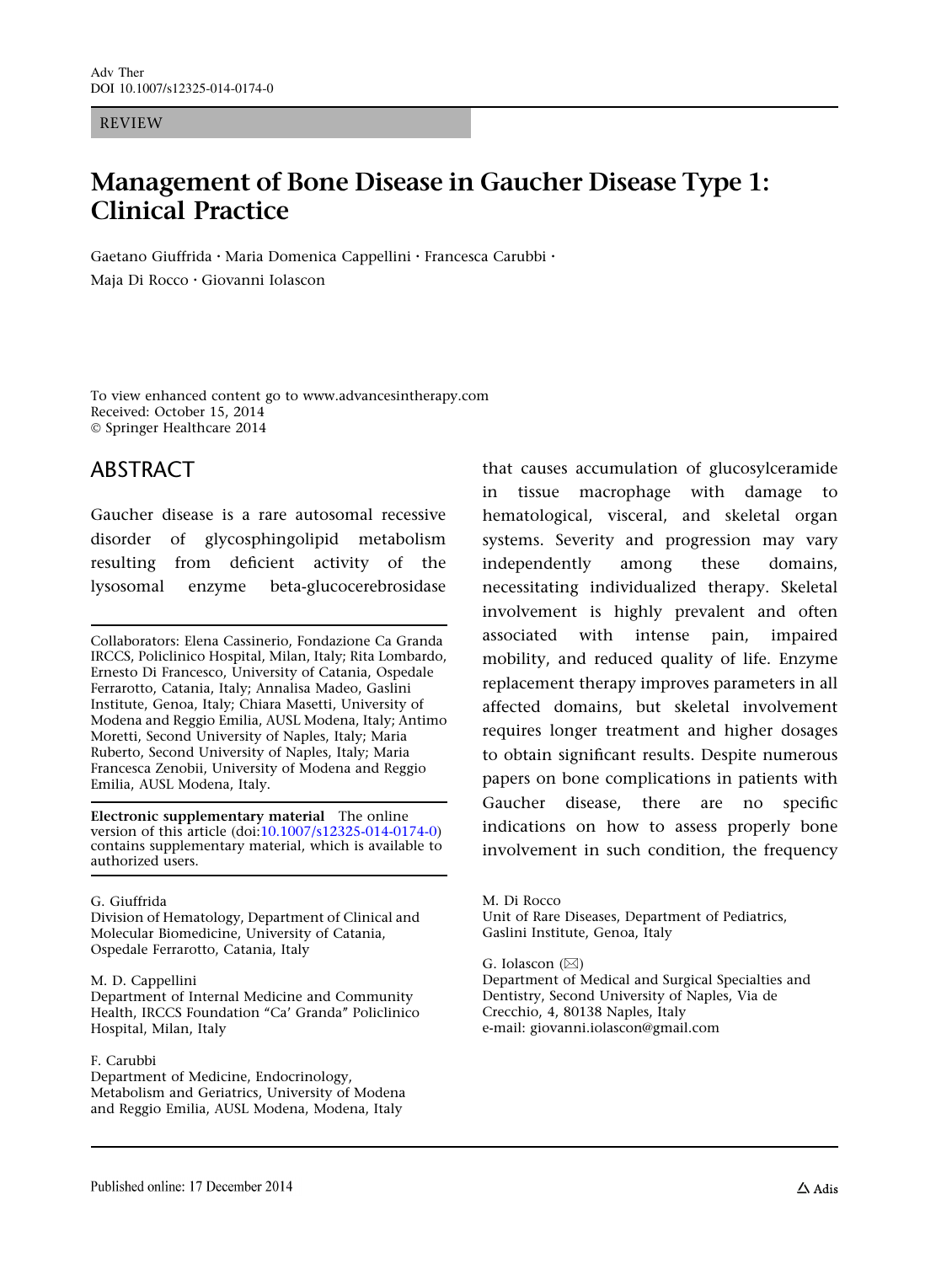#### REVIEW

# Management of Bone Disease in Gaucher Disease Type 1: Clinical Practice

Gaetano Giuffrida • Maria Domenica Cappellini • Francesca Carubbi • Maja Di Rocco • Giovanni Iolascon

To view enhanced content go to www.advancesintherapy.com Received: October 15, 2014 © Springer Healthcare 2014

## ABSTRACT

Gaucher disease is a rare autosomal recessive disorder of glycosphingolipid metabolism resulting from deficient activity of the lysosomal enzyme beta-glucocerebrosidase

Collaborators: Elena Cassinerio, Fondazione Ca Granda IRCCS, Policlinico Hospital, Milan, Italy; Rita Lombardo, Ernesto Di Francesco, University of Catania, Ospedale Ferrarotto, Catania, Italy; Annalisa Madeo, Gaslini Institute, Genoa, Italy; Chiara Masetti, University of Modena and Reggio Emilia, AUSL Modena, Italy; Antimo Moretti, Second University of Naples, Italy; Maria Ruberto, Second University of Naples, Italy; Maria Francesca Zenobii, University of Modena and Reggio Emilia, AUSL Modena, Italy.

Electronic supplementary material The online version of this article (doi:[10.1007/s12325-014-0174-0\)](http://dx.doi.org/10.1007/s12325-014-0174-0) contains supplementary material, which is available to authorized users.

#### G. Giuffrida

Division of Hematology, Department of Clinical and Molecular Biomedicine, University of Catania, Ospedale Ferrarotto, Catania, Italy

#### M. D. Cappellini

Department of Internal Medicine and Community Health, IRCCS Foundation "Ca' Granda" Policlinico Hospital, Milan, Italy

#### F. Carubbi

Department of Medicine, Endocrinology, Metabolism and Geriatrics, University of Modena and Reggio Emilia, AUSL Modena, Modena, Italy

that causes accumulation of glucosylceramide in tissue macrophage with damage to hematological, visceral, and skeletal organ systems. Severity and progression may vary independently among these domains, necessitating individualized therapy. Skeletal involvement is highly prevalent and often associated with intense pain, impaired mobility, and reduced quality of life. Enzyme replacement therapy improves parameters in all affected domains, but skeletal involvement requires longer treatment and higher dosages to obtain significant results. Despite numerous papers on bone complications in patients with Gaucher disease, there are no specific indications on how to assess properly bone involvement in such condition, the frequency

M. Di Rocco Unit of Rare Diseases, Department of Pediatrics, Gaslini Institute, Genoa, Italy

G. Iolascon  $(\boxtimes)$ Department of Medical and Surgical Specialties and Dentistry, Second University of Naples, Via de Crecchio, 4, 80138 Naples, Italy e-mail: giovanni.iolascon@gmail.com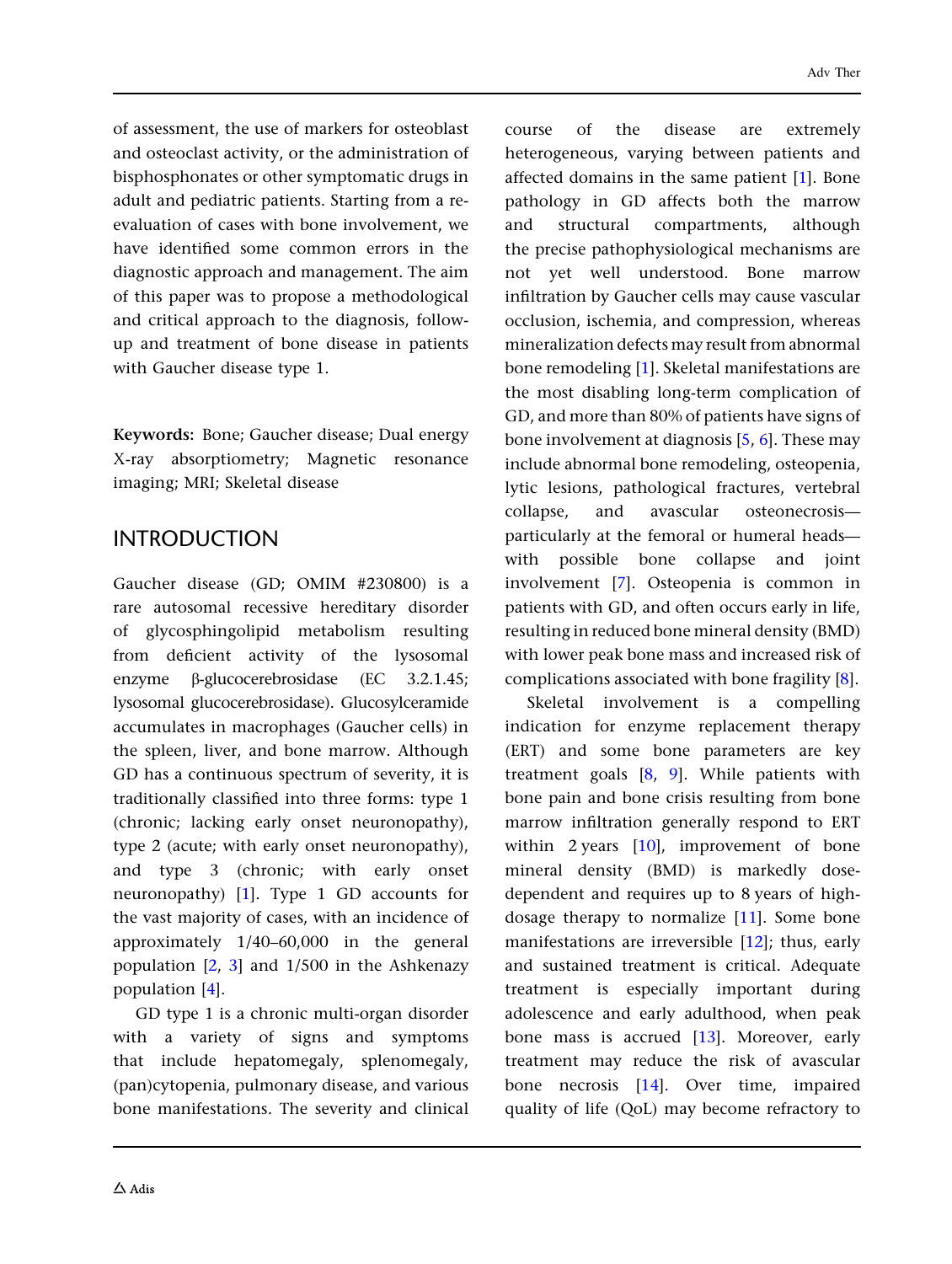of assessment, the use of markers for osteoblast and osteoclast activity, or the administration of bisphosphonates or other symptomatic drugs in adult and pediatric patients. Starting from a reevaluation of cases with bone involvement, we have identified some common errors in the diagnostic approach and management. The aim of this paper was to propose a methodological and critical approach to the diagnosis, followup and treatment of bone disease in patients with Gaucher disease type 1.

Keywords: Bone; Gaucher disease; Dual energy X-ray absorptiometry; Magnetic resonance imaging; MRI; Skeletal disease

## INTRODUCTION

Gaucher disease (GD; OMIM #230800) is a rare autosomal recessive hereditary disorder of glycosphingolipid metabolism resulting from deficient activity of the lysosomal enzyme β-glucocerebrosidase (EC 3.2.1.45; lysosomal glucocerebrosidase). Glucosylceramide accumulates in macrophages (Gaucher cells) in the spleen, liver, and bone marrow. Although GD has a continuous spectrum of severity, it is traditionally classified into three forms: type 1 (chronic; lacking early onset neuronopathy), type 2 (acute; with early onset neuronopathy), and type 3 (chronic; with early onset neuronopathy) [[1\]](#page-13-0). Type 1 GD accounts for the vast majority of cases, with an incidence of approximately 1/40–60,000 in the general population [\[2,](#page-13-0) [3\]](#page-13-0) and 1/500 in the Ashkenazy population [\[4\]](#page-13-0).

GD type 1 is a chronic multi-organ disorder with a variety of signs and symptoms that include hepatomegaly, splenomegaly, (pan)cytopenia, pulmonary disease, and various bone manifestations. The severity and clinical

course of the disease are extremely heterogeneous, varying between patients and affected domains in the same patient [\[1](#page-13-0)]. Bone pathology in GD affects both the marrow and structural compartments, although the precise pathophysiological mechanisms are not yet well understood. Bone marrow infiltration by Gaucher cells may cause vascular occlusion, ischemia, and compression, whereas mineralization defects may result from abnormal bone remodeling [[1\]](#page-13-0). Skeletal manifestations are the most disabling long-term complication of GD, and more than 80% of patients have signs of bone involvement at diagnosis [[5,](#page-13-0) [6\]](#page-13-0). These may include abnormal bone remodeling, osteopenia, lytic lesions, pathological fractures, vertebral collapse, and avascular osteonecrosis particularly at the femoral or humeral heads with possible bone collapse and joint involvement [\[7\]](#page-13-0). Osteopenia is common in patients with GD, and often occurs early in life, resulting in reduced bone mineral density (BMD) with lower peak bone mass and increased risk of complications associated with bone fragility [[8](#page-13-0)].

Skeletal involvement is a compelling indication for enzyme replacement therapy (ERT) and some bone parameters are key treatment goals  $[8, 9]$  $[8, 9]$  $[8, 9]$  $[8, 9]$ . While patients with bone pain and bone crisis resulting from bone marrow infiltration generally respond to ERT within 2 years  $[10]$ , improvement of bone mineral density (BMD) is markedly dosedependent and requires up to 8 years of highdosage therapy to normalize [[11\]](#page-13-0). Some bone manifestations are irreversible [\[12\]](#page-13-0); thus, early and sustained treatment is critical. Adequate treatment is especially important during adolescence and early adulthood, when peak bone mass is accrued [[13](#page-13-0)]. Moreover, early treatment may reduce the risk of avascular bone necrosis [\[14](#page-13-0)]. Over time, impaired quality of life (QoL) may become refractory to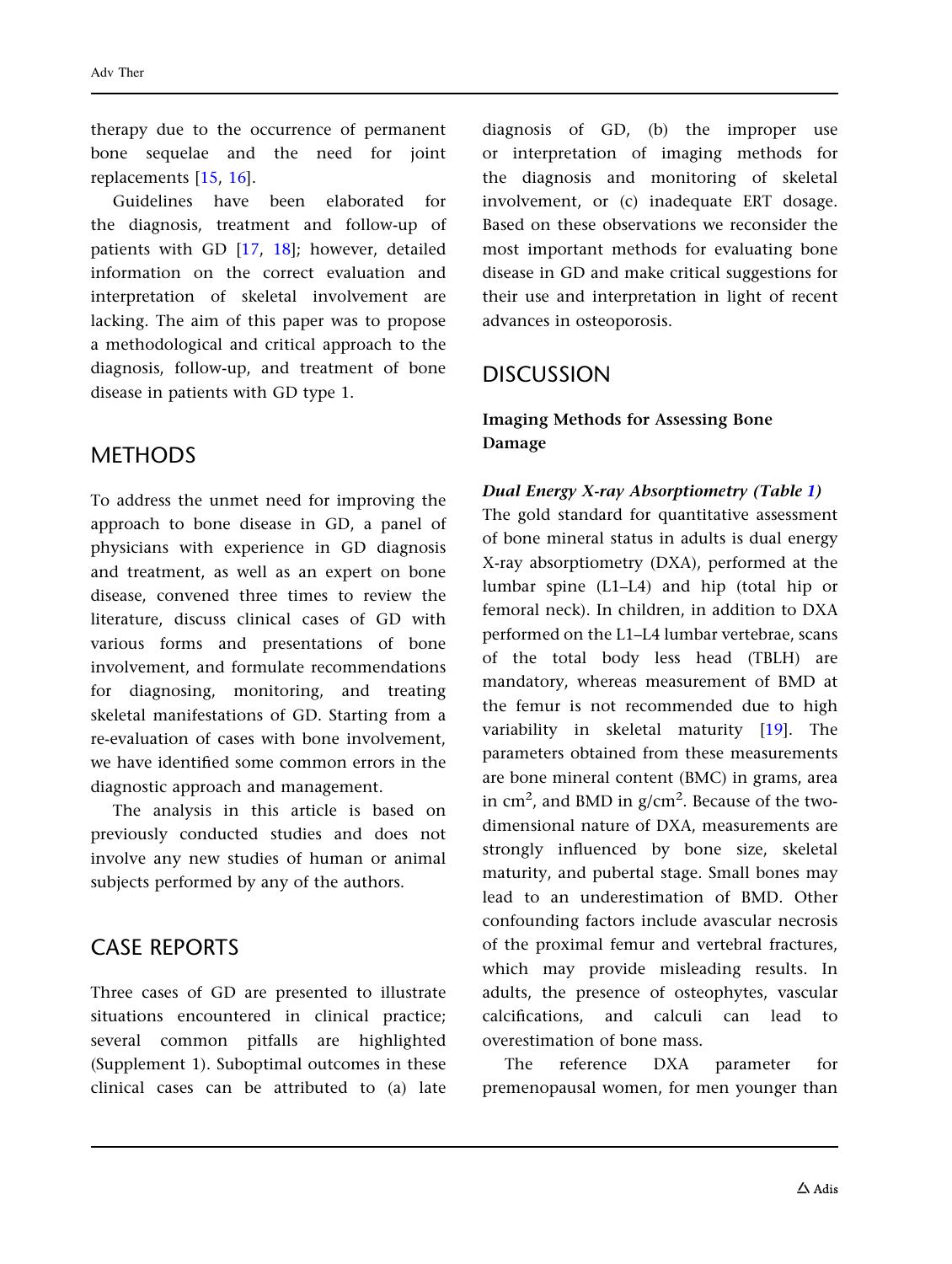therapy due to the occurrence of permanent bone sequelae and the need for joint replacements [\[15,](#page-13-0) [16](#page-13-0)].

Guidelines have been elaborated for the diagnosis, treatment and follow-up of patients with GD [[17](#page-13-0), [18](#page-13-0)]; however, detailed information on the correct evaluation and interpretation of skeletal involvement are lacking. The aim of this paper was to propose a methodological and critical approach to the diagnosis, follow-up, and treatment of bone disease in patients with GD type 1.

## **METHODS**

To address the unmet need for improving the approach to bone disease in GD, a panel of physicians with experience in GD diagnosis and treatment, as well as an expert on bone disease, convened three times to review the literature, discuss clinical cases of GD with various forms and presentations of bone involvement, and formulate recommendations for diagnosing, monitoring, and treating skeletal manifestations of GD. Starting from a re-evaluation of cases with bone involvement, we have identified some common errors in the diagnostic approach and management.

The analysis in this article is based on previously conducted studies and does not involve any new studies of human or animal subjects performed by any of the authors.

## CASE REPORTS

Three cases of GD are presented to illustrate situations encountered in clinical practice; several common pitfalls are highlighted (Supplement 1). Suboptimal outcomes in these clinical cases can be attributed to (a) late diagnosis of GD, (b) the improper use or interpretation of imaging methods for the diagnosis and monitoring of skeletal involvement, or (c) inadequate ERT dosage. Based on these observations we reconsider the most important methods for evaluating bone disease in GD and make critical suggestions for their use and interpretation in light of recent advances in osteoporosis.

## DISCUSSION

### Imaging Methods for Assessing Bone Damage

### Dual Energy X-ray Absorptiometry (Table [1\)](#page-3-0)

The gold standard for quantitative assessment of bone mineral status in adults is dual energy X-ray absorptiometry (DXA), performed at the lumbar spine (L1–L4) and hip (total hip or femoral neck). In children, in addition to DXA performed on the L1–L4 lumbar vertebrae, scans of the total body less head (TBLH) are mandatory, whereas measurement of BMD at the femur is not recommended due to high variability in skeletal maturity [[19](#page-13-0)]. The parameters obtained from these measurements are bone mineral content (BMC) in grams, area in  $\text{cm}^2$ , and BMD in g/ $\text{cm}^2$ . Because of the twodimensional nature of DXA, measurements are strongly influenced by bone size, skeletal maturity, and pubertal stage. Small bones may lead to an underestimation of BMD. Other confounding factors include avascular necrosis of the proximal femur and vertebral fractures, which may provide misleading results. In adults, the presence of osteophytes, vascular calcifications, and calculi can lead to overestimation of bone mass.

The reference DXA parameter for premenopausal women, for men younger than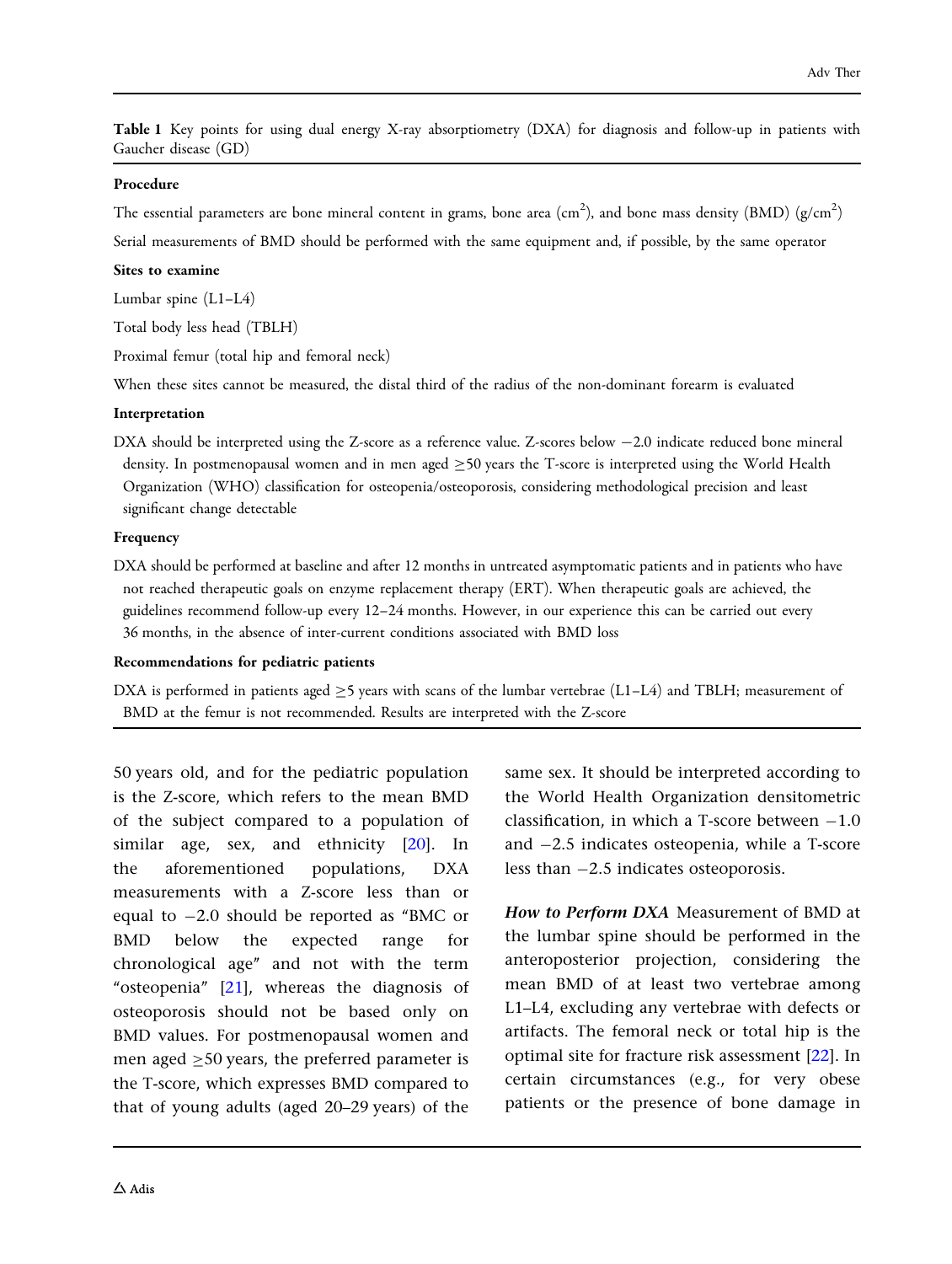<span id="page-3-0"></span>Table 1 Key points for using dual energy X-ray absorptiometry (DXA) for diagnosis and follow-up in patients with Gaucher disease (GD)

#### Procedure

The essential parameters are bone mineral content in grams, bone area (cm<sup>2</sup>), and bone mass density (BMD) (g/cm<sup>2</sup>) Serial measurements of BMD should be performed with the same equipment and, if possible, by the same operator

#### Sites to examine

Lumbar spine (L1–L4)

Total body less head (TBLH)

Proximal femur (total hip and femoral neck)

When these sites cannot be measured, the distal third of the radius of the non-dominant forearm is evaluated

#### Interpretation

DXA should be interpreted using the Z-score as a reference value. Z-scores below -2.0 indicate reduced bone mineral density. In postmenopausal women and in men aged  $\geq$ 50 years the T-score is interpreted using the World Health Organization (WHO) classification for osteopenia/osteoporosis, considering methodological precision and least significant change detectable

#### Frequency

DXA should be performed at baseline and after 12 months in untreated asymptomatic patients and in patients who have not reached therapeutic goals on enzyme replacement therapy (ERT). When therapeutic goals are achieved, the guidelines recommend follow-up every 12–24 months. However, in our experience this can be carried out every 36 months, in the absence of inter-current conditions associated with BMD loss

#### Recommendations for pediatric patients

DXA is performed in patients aged  $\geq$ 5 years with scans of the lumbar vertebrae (L1–L4) and TBLH; measurement of BMD at the femur is not recommended. Results are interpreted with the Z-score

50 years old, and for the pediatric population is the Z-score, which refers to the mean BMD of the subject compared to a population of similar age, sex, and ethnicity [[20](#page-13-0)]. In the aforementioned populations, DXA measurements with a Z-score less than or equal to  $-2.0$  should be reported as "BMC or BMD below the expected range for chronological age'' and not with the term "osteopenia"  $[21]$  $[21]$  $[21]$ , whereas the diagnosis of osteoporosis should not be based only on BMD values. For postmenopausal women and men aged  $\geq$ 50 years, the preferred parameter is the T-score, which expresses BMD compared to that of young adults (aged 20–29 years) of the same sex. It should be interpreted according to the World Health Organization densitometric classification, in which a T-score between  $-1.0$ and  $-2.5$  indicates osteopenia, while a T-score less than -2.5 indicates osteoporosis.

How to Perform DXA Measurement of BMD at the lumbar spine should be performed in the anteroposterior projection, considering the mean BMD of at least two vertebrae among L1–L4, excluding any vertebrae with defects or artifacts. The femoral neck or total hip is the optimal site for fracture risk assessment [[22](#page-14-0)]. In certain circumstances (e.g., for very obese patients or the presence of bone damage in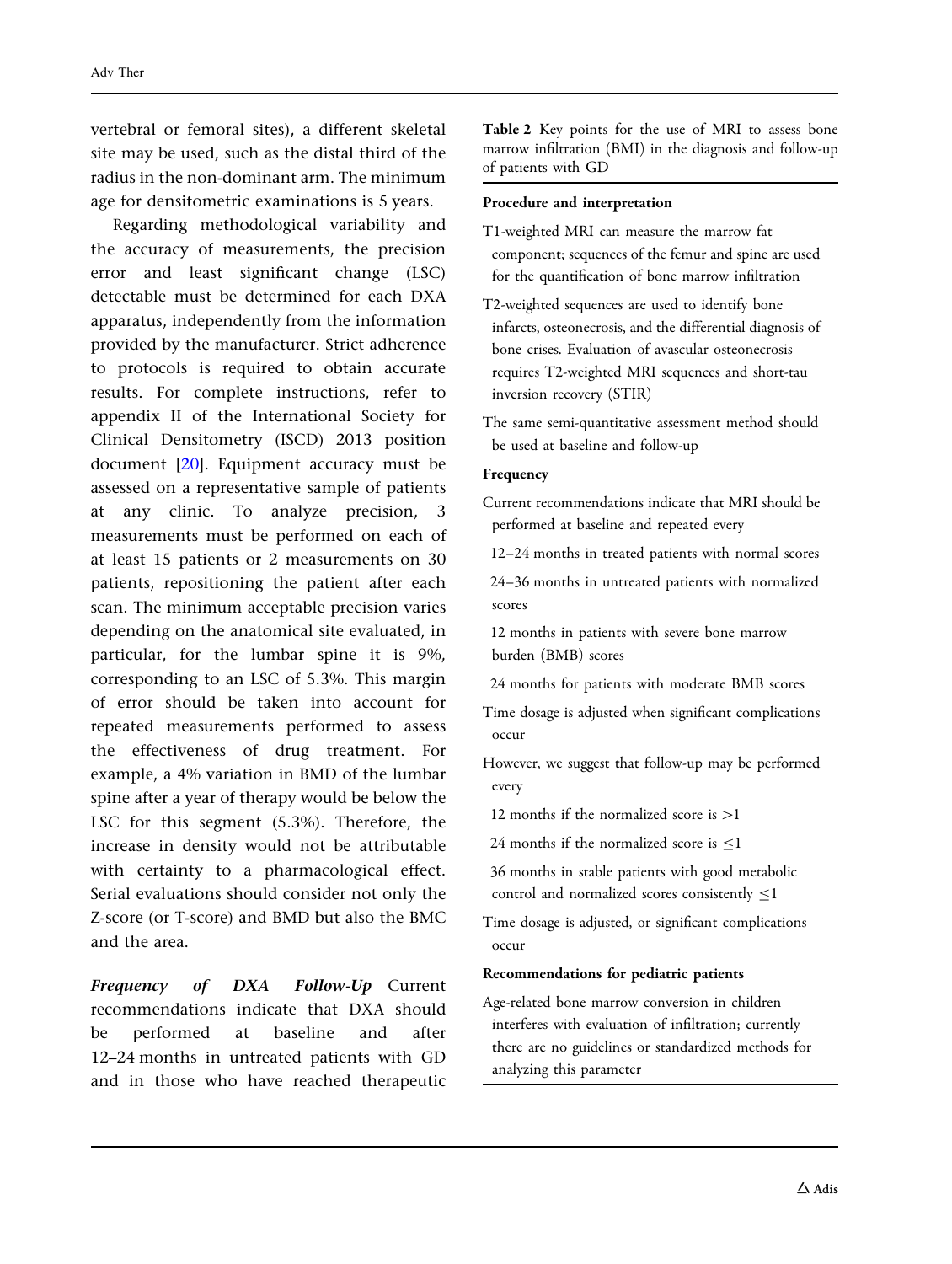<span id="page-4-0"></span>vertebral or femoral sites), a different skeletal site may be used, such as the distal third of the radius in the non-dominant arm. The minimum age for densitometric examinations is 5 years.

Regarding methodological variability and the accuracy of measurements, the precision error and least significant change (LSC) detectable must be determined for each DXA apparatus, independently from the information provided by the manufacturer. Strict adherence to protocols is required to obtain accurate results. For complete instructions, refer to appendix II of the International Society for Clinical Densitometry (ISCD) 2013 position document [\[20\]](#page-13-0). Equipment accuracy must be assessed on a representative sample of patients at any clinic. To analyze precision, 3 measurements must be performed on each of at least 15 patients or 2 measurements on 30 patients, repositioning the patient after each scan. The minimum acceptable precision varies depending on the anatomical site evaluated, in particular, for the lumbar spine it is 9%, corresponding to an LSC of 5.3%. This margin of error should be taken into account for repeated measurements performed to assess the effectiveness of drug treatment. For example, a 4% variation in BMD of the lumbar spine after a year of therapy would be below the LSC for this segment (5.3%). Therefore, the increase in density would not be attributable with certainty to a pharmacological effect. Serial evaluations should consider not only the Z-score (or T-score) and BMD but also the BMC and the area.

Frequency of DXA Follow-Up Current recommendations indicate that DXA should be performed at baseline and after 12–24 months in untreated patients with GD and in those who have reached therapeutic Table 2 Key points for the use of MRI to assess bone marrow infiltration (BMI) in the diagnosis and follow-up of patients with GD

### Procedure and interpretation

- T1-weighted MRI can measure the marrow fat component; sequences of the femur and spine are used for the quantification of bone marrow infiltration
- T2-weighted sequences are used to identify bone infarcts, osteonecrosis, and the differential diagnosis of bone crises. Evaluation of avascular osteonecrosis requires T2-weighted MRI sequences and short-tau inversion recovery (STIR)
- The same semi-quantitative assessment method should be used at baseline and follow-up

#### Frequency

Current recommendations indicate that MRI should be performed at baseline and repeated every

12–24 months in treated patients with normal scores

24–36 months in untreated patients with normalized scores

12 months in patients with severe bone marrow burden (BMB) scores

24 months for patients with moderate BMB scores

Time dosage is adjusted when significant complications occur

However, we suggest that follow-up may be performed every

12 months if the normalized score is  $>1$ 

24 months if the normalized score is  $\leq$ 1

36 months in stable patients with good metabolic control and normalized scores consistently  $\leq$ 1

Time dosage is adjusted, or significant complications occur

#### Recommendations for pediatric patients

Age-related bone marrow conversion in children interferes with evaluation of infiltration; currently there are no guidelines or standardized methods for analyzing this parameter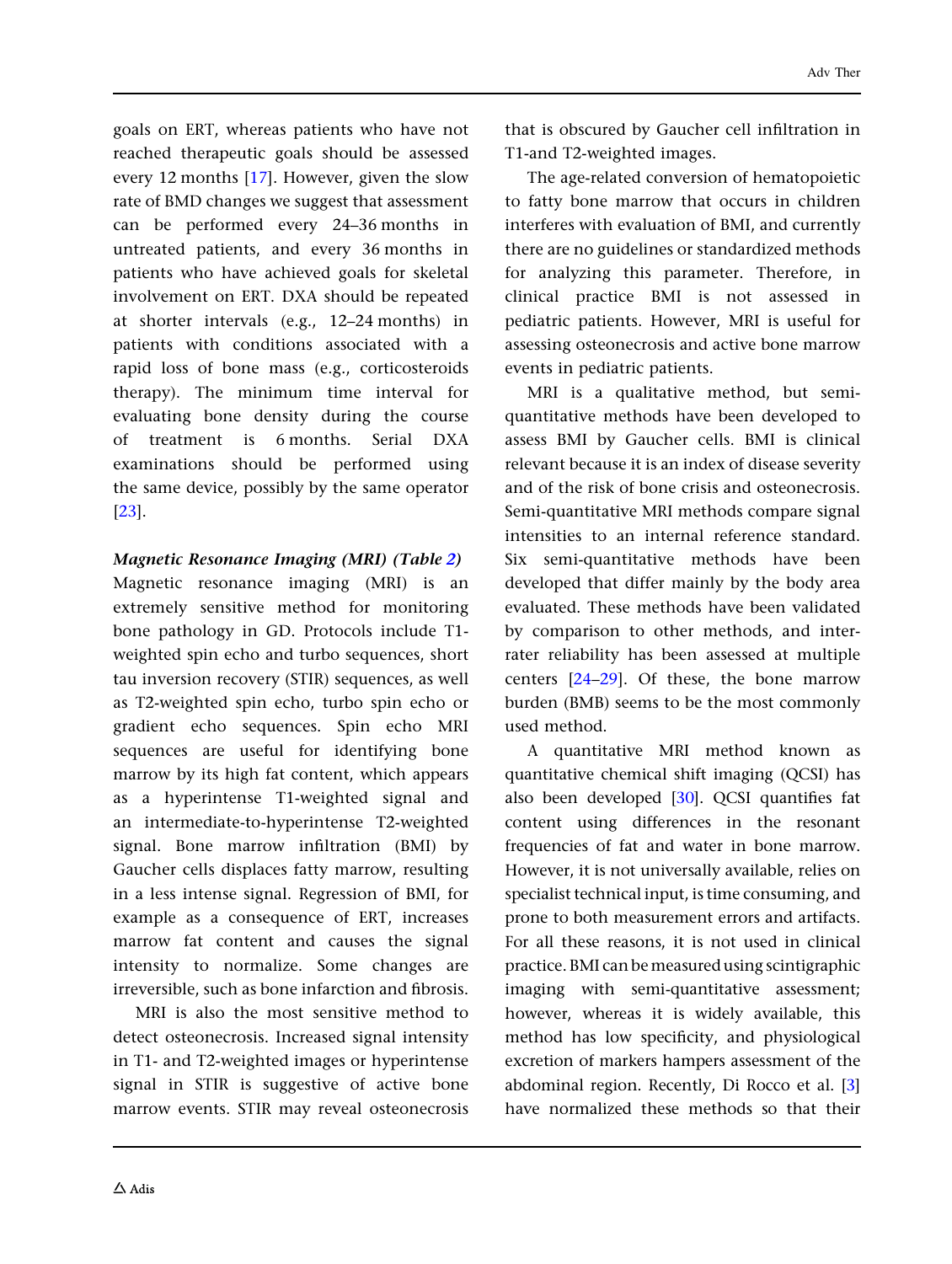goals on ERT, whereas patients who have not reached therapeutic goals should be assessed every 12 months [\[17\]](#page-13-0). However, given the slow rate of BMD changes we suggest that assessment can be performed every 24–36 months in untreated patients, and every 36 months in patients who have achieved goals for skeletal involvement on ERT. DXA should be repeated at shorter intervals (e.g., 12–24 months) in patients with conditions associated with a rapid loss of bone mass (e.g., corticosteroids therapy). The minimum time interval for evaluating bone density during the course of treatment is 6 months. Serial DXA examinations should be performed using

the same device, possibly by the same operator [\[23\]](#page-14-0).

### Magnetic Resonance Imaging (MRI) (Table [2](#page-4-0))

Magnetic resonance imaging (MRI) is an extremely sensitive method for monitoring bone pathology in GD. Protocols include T1 weighted spin echo and turbo sequences, short tau inversion recovery (STIR) sequences, as well as T2-weighted spin echo, turbo spin echo or gradient echo sequences. Spin echo MRI sequences are useful for identifying bone marrow by its high fat content, which appears as a hyperintense T1-weighted signal and an intermediate-to-hyperintense T2-weighted signal. Bone marrow infiltration (BMI) by Gaucher cells displaces fatty marrow, resulting in a less intense signal. Regression of BMI, for example as a consequence of ERT, increases marrow fat content and causes the signal intensity to normalize. Some changes are irreversible, such as bone infarction and fibrosis.

MRI is also the most sensitive method to detect osteonecrosis. Increased signal intensity in T1- and T2-weighted images or hyperintense signal in STIR is suggestive of active bone marrow events. STIR may reveal osteonecrosis that is obscured by Gaucher cell infiltration in T1-and T2-weighted images.

The age-related conversion of hematopoietic to fatty bone marrow that occurs in children interferes with evaluation of BMI, and currently there are no guidelines or standardized methods for analyzing this parameter. Therefore, in clinical practice BMI is not assessed in pediatric patients. However, MRI is useful for assessing osteonecrosis and active bone marrow events in pediatric patients.

MRI is a qualitative method, but semiquantitative methods have been developed to assess BMI by Gaucher cells. BMI is clinical relevant because it is an index of disease severity and of the risk of bone crisis and osteonecrosis. Semi-quantitative MRI methods compare signal intensities to an internal reference standard. Six semi-quantitative methods have been developed that differ mainly by the body area evaluated. These methods have been validated by comparison to other methods, and interrater reliability has been assessed at multiple centers [[24–29\]](#page-14-0). Of these, the bone marrow burden (BMB) seems to be the most commonly used method.

A quantitative MRI method known as quantitative chemical shift imaging (QCSI) has also been developed [\[30](#page-14-0)]. QCSI quantifies fat content using differences in the resonant frequencies of fat and water in bone marrow. However, it is not universally available, relies on specialist technical input, is time consuming, and prone to both measurement errors and artifacts. For all these reasons, it is not used in clinical practice. BMI can be measured using scintigraphic imaging with semi-quantitative assessment; however, whereas it is widely available, this method has low specificity, and physiological excretion of markers hampers assessment of the abdominal region. Recently, Di Rocco et al. [[3](#page-13-0)] have normalized these methods so that their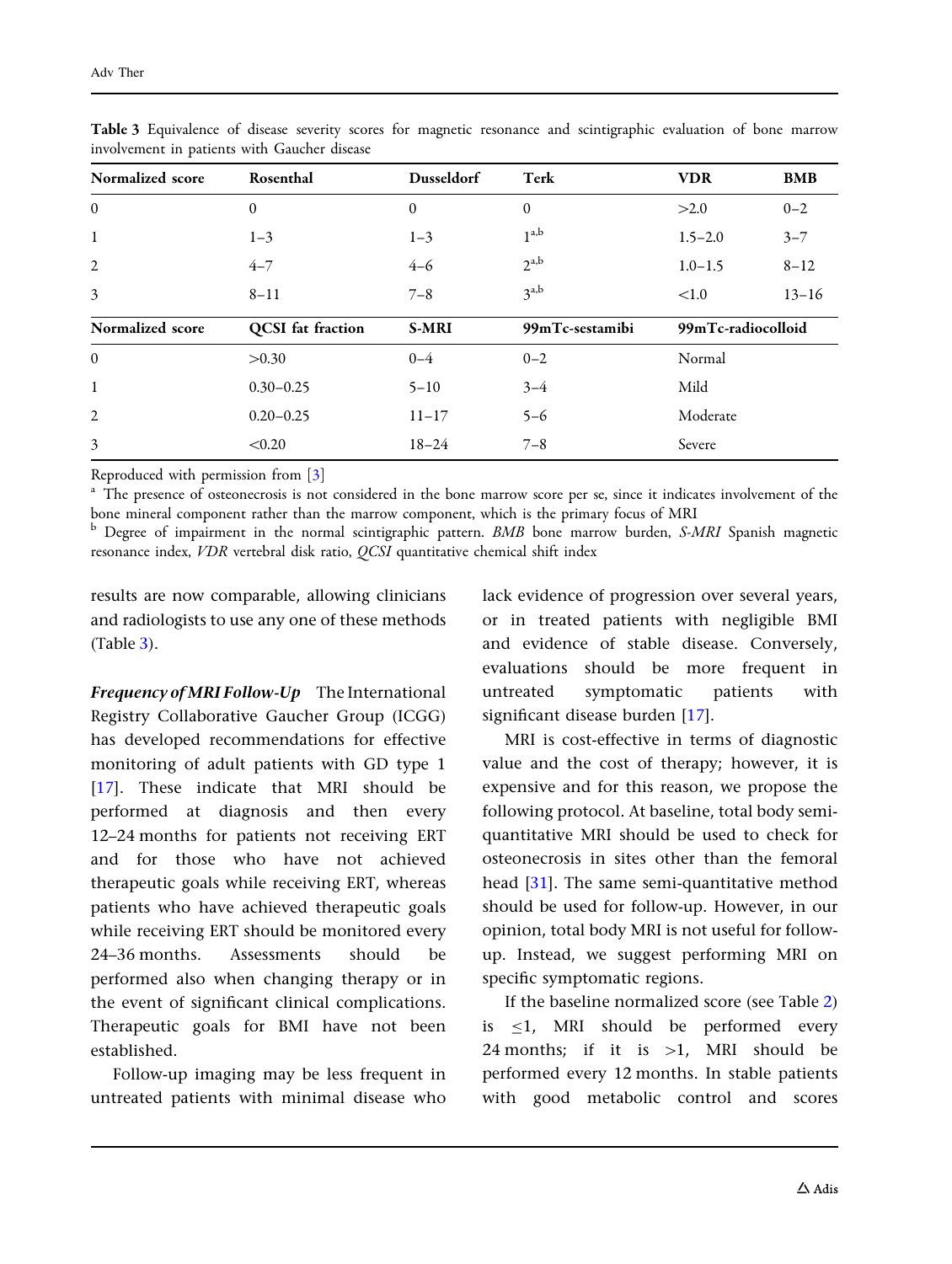| Normalized score | Rosenthal                | <b>Dusseldorf</b> | Terk             | <b>VDR</b>         | <b>BMB</b> |
|------------------|--------------------------|-------------------|------------------|--------------------|------------|
| $\overline{0}$   | $\mathbf{0}$             | $\theta$          | $\theta$         | >2.0               | $0 - 2$    |
| 1                | $1 - 3$                  | $1 - 3$           | 1 <sup>a,b</sup> | $1.5 - 2.0$        | $3 - 7$    |
| 2                | $4 - 7$                  | $4 - 6$           | $2^{a,b}$        | $1.0 - 1.5$        | $8 - 12$   |
| $\mathfrak{Z}$   | $8 - 11$                 | $7 - 8$           | $3^{a,b}$        | <1.0               | $13 - 16$  |
| Normalized score | <b>QCSI</b> fat fraction | <b>S-MRI</b>      | 99mTc-sestamibi  | 99mTc-radiocolloid |            |
| $\overline{0}$   | >0.30                    | $0 - 4$           | $0 - 2$          | Normal             |            |
| 1                | $0.30 - 0.25$            | $5 - 10$          | $3 - 4$          | Mild               |            |
| 2                | $0.20 - 0.25$            | $11 - 17$         | $5 - 6$          | Moderate           |            |
| $\mathfrak{Z}$   | < 0.20                   | $18 - 24$         | $7 - 8$          | Severe             |            |

Table 3 Equivalence of disease severity scores for magnetic resonance and scintigraphic evaluation of bone marrow involvement in patients with Gaucher disease

Reproduced with permission from  $[3]$  $[3]$ <br><sup>a</sup> The presence of osteonecrosis is not considered in the bone marrow score per se, since it indicates involvement of the bone mineral component rather than the marrow component, which is the primary focus of MRI

<sup>b</sup> Degree of impairment in the normal scintigraphic pattern. BMB bone marrow burden, S-MRI Spanish magnetic resonance index, VDR vertebral disk ratio, QCSI quantitative chemical shift index

results are now comparable, allowing clinicians and radiologists to use any one of these methods (Table 3).

Frequency of MRI Follow-Up The International Registry Collaborative Gaucher Group (ICGG) has developed recommendations for effective monitoring of adult patients with GD type 1 [\[17](#page-13-0)]. These indicate that MRI should be performed at diagnosis and then every 12–24 months for patients not receiving ERT and for those who have not achieved therapeutic goals while receiving ERT, whereas patients who have achieved therapeutic goals while receiving ERT should be monitored every 24–36 months. Assessments should be performed also when changing therapy or in the event of significant clinical complications. Therapeutic goals for BMI have not been established.

Follow-up imaging may be less frequent in untreated patients with minimal disease who lack evidence of progression over several years, or in treated patients with negligible BMI and evidence of stable disease. Conversely, evaluations should be more frequent in untreated symptomatic patients with significant disease burden [[17](#page-13-0)].

MRI is cost-effective in terms of diagnostic value and the cost of therapy; however, it is expensive and for this reason, we propose the following protocol. At baseline, total body semiquantitative MRI should be used to check for osteonecrosis in sites other than the femoral head [[31](#page-14-0)]. The same semi-quantitative method should be used for follow-up. However, in our opinion, total body MRI is not useful for followup. Instead, we suggest performing MRI on specific symptomatic regions.

If the baseline normalized score (see Table [2\)](#page-4-0) is  $\leq$ 1, MRI should be performed every 24 months; if it is  $>1$ , MRI should be performed every 12 months. In stable patients with good metabolic control and scores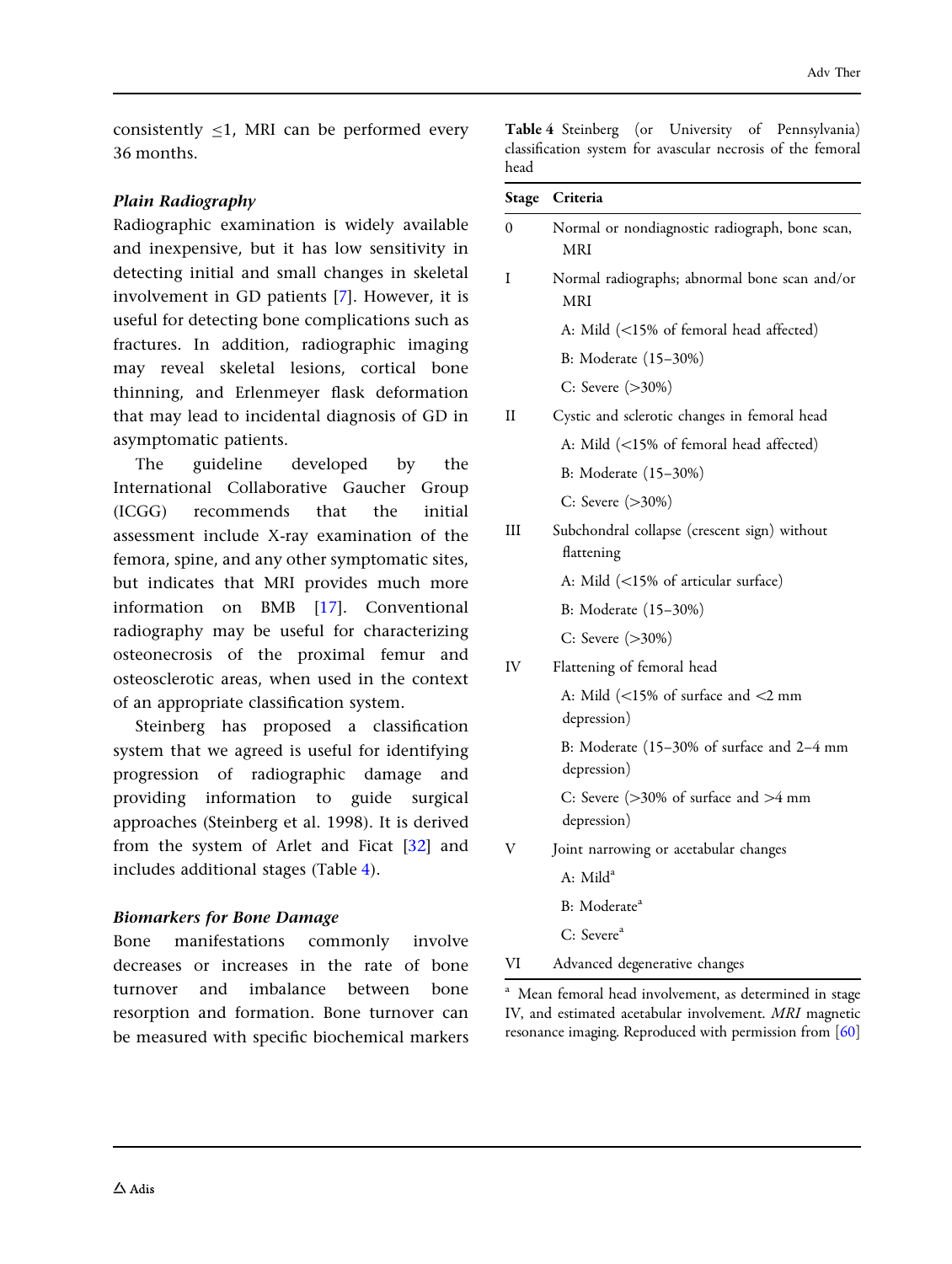consistently  $\leq 1$ , MRI can be performed every 36 months.

### Plain Radiography

Radiographic examination is widely available and inexpensive, but it has low sensitivity in detecting initial and small changes in skeletal involvement in GD patients [[7](#page-13-0)]. However, it is useful for detecting bone complications such as fractures. In addition, radiographic imaging may reveal skeletal lesions, cortical bone thinning, and Erlenmeyer flask deformation that may lead to incidental diagnosis of GD in asymptomatic patients.

The guideline developed by the International Collaborative Gaucher Group (ICGG) recommends that the initial assessment include X-ray examination of the femora, spine, and any other symptomatic sites, but indicates that MRI provides much more information on BMB [[17](#page-13-0)]. Conventional radiography may be useful for characterizing osteonecrosis of the proximal femur and osteosclerotic areas, when used in the context of an appropriate classification system.

Steinberg has proposed a classification system that we agreed is useful for identifying progression of radiographic damage and providing information to guide surgical approaches (Steinberg et al. 1998). It is derived from the system of Arlet and Ficat [\[32\]](#page-14-0) and includes additional stages (Table 4).

### Biomarkers for Bone Damage

Bone manifestations commonly involve decreases or increases in the rate of bone turnover and imbalance between bone resorption and formation. Bone turnover can be measured with specific biochemical markers

Table 4 Steinberg (or University of Pennsylvania) classification system for avascular necrosis of the femoral head

| Stage | Criteria                                                   |
|-------|------------------------------------------------------------|
| 0     | Normal or nondiagnostic radiograph, bone scan,<br>MRI      |
| I     | Normal radiographs; abnormal bone scan and/or<br>MRI       |
|       | A: Mild (<15% of femoral head affected)                    |
|       | B: Moderate (15-30%)                                       |
|       | C: Severe $(>30%)$                                         |
| H     | Cystic and sclerotic changes in femoral head               |
|       | A: Mild (<15% of femoral head affected)                    |
|       | B: Moderate (15-30%)                                       |
|       | C: Severe $(>30%)$                                         |
| Ш     | Subchondral collapse (crescent sign) without<br>flattening |
|       | A: Mild (<15% of articular surface)                        |
|       | B: Moderate (15–30%)                                       |
|       | C: Severe $(>30%)$                                         |
| IV    | Flattening of femoral head                                 |
|       | A: Mild (<15% of surface and <2 mm<br>depression)          |
|       | B: Moderate (15-30% of surface and 2-4 mm<br>depression)   |
|       | C: Severe ( $>30\%$ of surface and $>4$ mm<br>depression)  |
| V     | Joint narrowing or acetabular changes                      |
|       | A: Mid <sup>a</sup>                                        |
|       | B: Moderate <sup>a</sup>                                   |
|       | C: Severe <sup>a</sup>                                     |
| VI    | Advanced degenerative changes                              |

Mean femoral head involvement, as determined in stage IV, and estimated acetabular involvement. MRI magnetic resonance imaging. Reproduced with permission from [[60](#page-15-0)]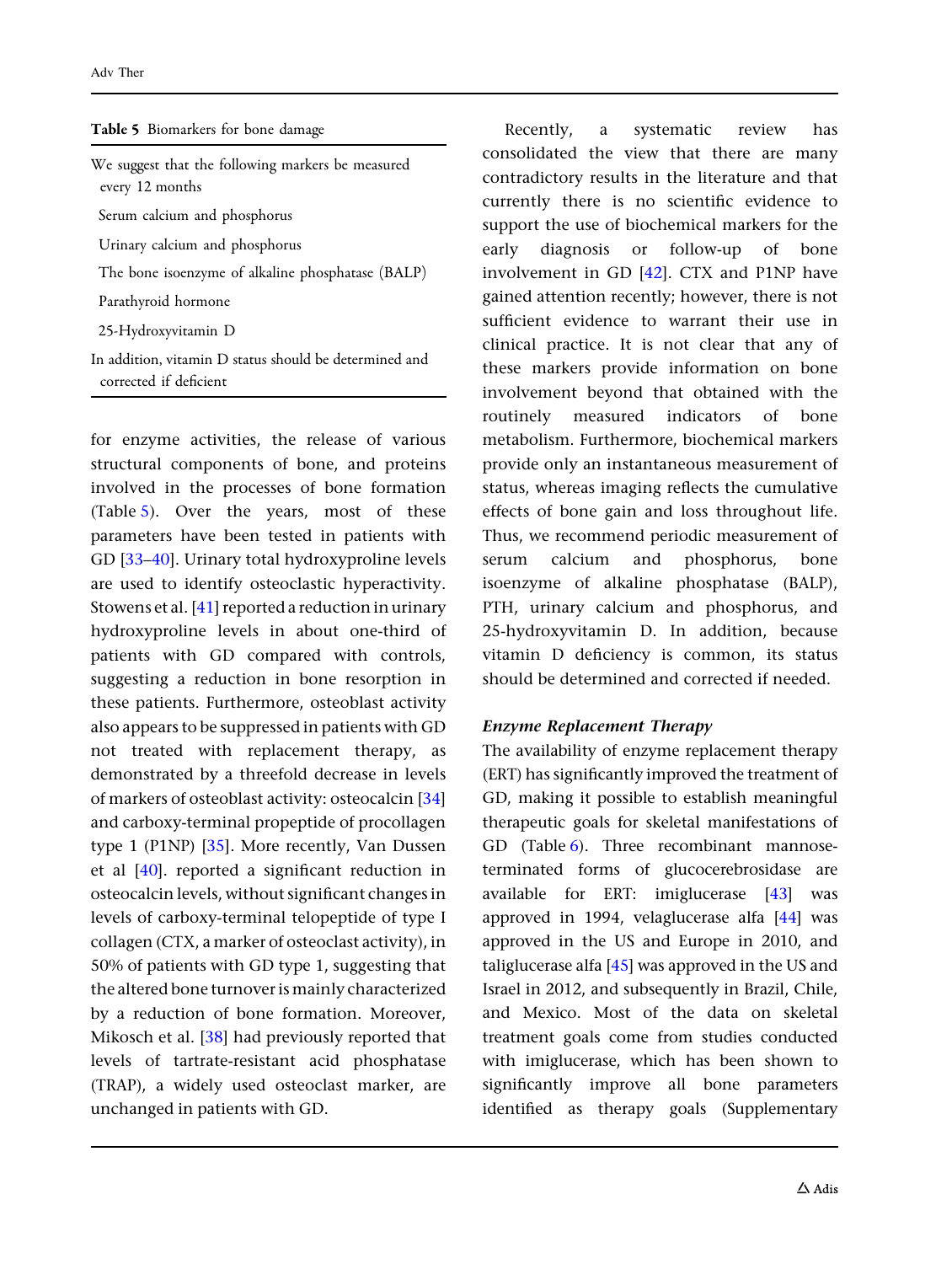for enzyme activities, the release of various structural components of bone, and proteins involved in the processes of bone formation (Table 5). Over the years, most of these parameters have been tested in patients with GD [\[33–40](#page-14-0)]. Urinary total hydroxyproline levels are used to identify osteoclastic hyperactivity. Stowens et al. [[41](#page-14-0)] reported a reduction in urinary hydroxyproline levels in about one-third of patients with GD compared with controls, suggesting a reduction in bone resorption in these patients. Furthermore, osteoblast activity also appears to be suppressed in patients with GD not treated with replacement therapy, as demonstrated by a threefold decrease in levels of markers of osteoblast activity: osteocalcin [\[34\]](#page-14-0) and carboxy-terminal propeptide of procollagen type 1 (P1NP) [\[35\]](#page-14-0). More recently, Van Dussen et al [\[40\]](#page-14-0). reported a significant reduction in osteocalcin levels, without significant changes in levels of carboxy-terminal telopeptide of type I collagen (CTX, a marker of osteoclast activity), in 50% of patients with GD type 1, suggesting that the altered bone turnover is mainly characterized by a reduction of bone formation. Moreover, Mikosch et al. [\[38\]](#page-14-0) had previously reported that levels of tartrate-resistant acid phosphatase (TRAP), a widely used osteoclast marker, are unchanged in patients with GD.

Recently, a systematic review has consolidated the view that there are many contradictory results in the literature and that currently there is no scientific evidence to support the use of biochemical markers for the early diagnosis or follow-up of bone involvement in GD [\[42\]](#page-14-0). CTX and P1NP have gained attention recently; however, there is not sufficient evidence to warrant their use in clinical practice. It is not clear that any of these markers provide information on bone involvement beyond that obtained with the routinely measured indicators of bone metabolism. Furthermore, biochemical markers provide only an instantaneous measurement of status, whereas imaging reflects the cumulative effects of bone gain and loss throughout life. Thus, we recommend periodic measurement of serum calcium and phosphorus, bone isoenzyme of alkaline phosphatase (BALP), PTH, urinary calcium and phosphorus, and 25-hydroxyvitamin D. In addition, because vitamin D deficiency is common, its status should be determined and corrected if needed.

### Enzyme Replacement Therapy

The availability of enzyme replacement therapy (ERT) has significantly improved the treatment of GD, making it possible to establish meaningful therapeutic goals for skeletal manifestations of GD (Table [6](#page-9-0)). Three recombinant mannoseterminated forms of glucocerebrosidase are available for ERT: imiglucerase [[43\]](#page-14-0) was approved in 1994, velaglucerase alfa [\[44\]](#page-14-0) was approved in the US and Europe in 2010, and taliglucerase alfa  $[45]$  was approved in the US and Israel in 2012, and subsequently in Brazil, Chile, and Mexico. Most of the data on skeletal treatment goals come from studies conducted with imiglucerase, which has been shown to significantly improve all bone parameters identified as therapy goals (Supplementary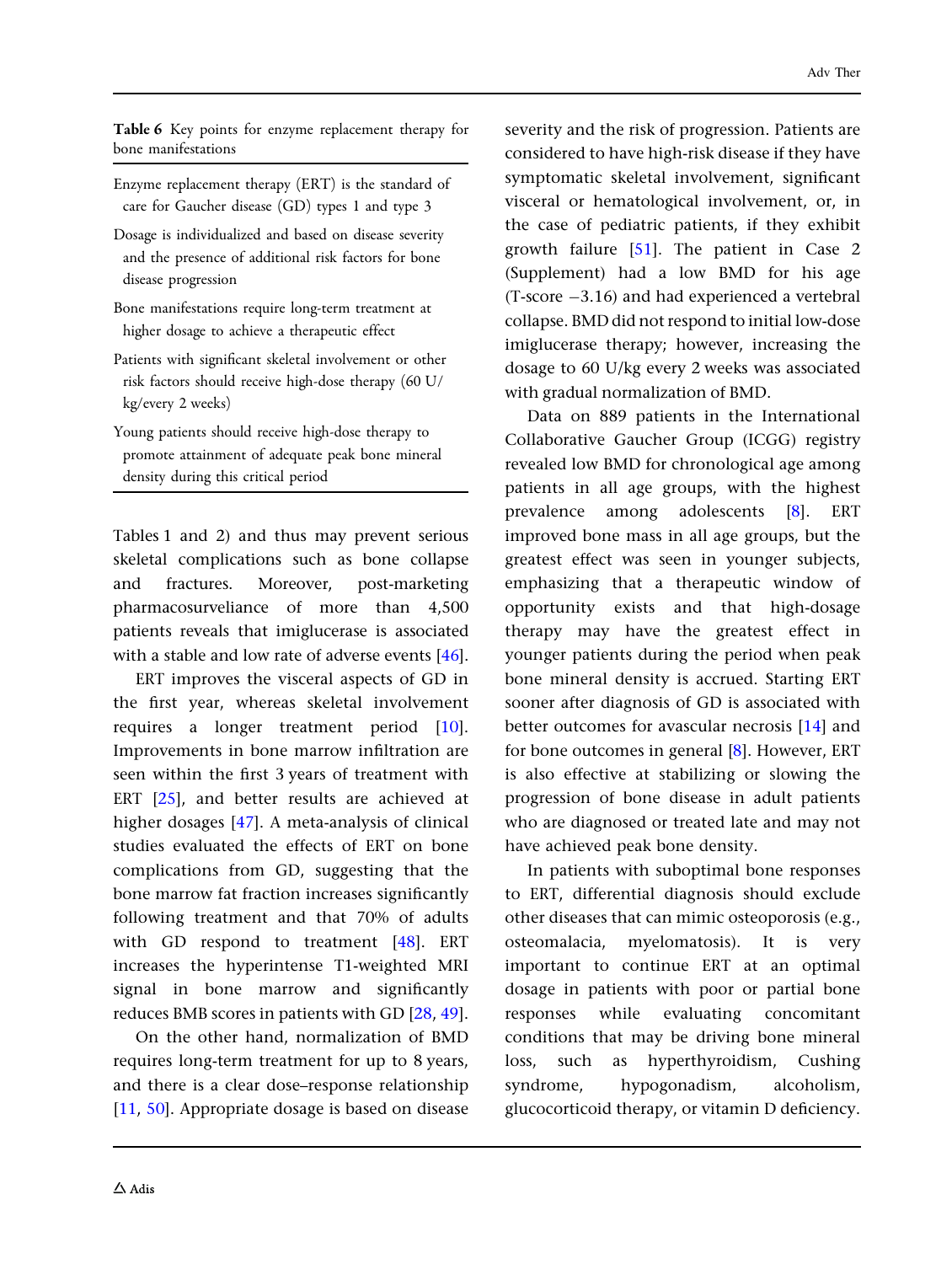<span id="page-9-0"></span>Table 6 Key points for enzyme replacement therapy for bone manifestations

- Enzyme replacement therapy (ERT) is the standard of care for Gaucher disease (GD) types 1 and type 3
- Dosage is individualized and based on disease severity and the presence of additional risk factors for bone disease progression
- Bone manifestations require long-term treatment at higher dosage to achieve a therapeutic effect
- Patients with significant skeletal involvement or other risk factors should receive high-dose therapy (60 U/ kg/every 2 weeks)
- Young patients should receive high-dose therapy to promote attainment of adequate peak bone mineral density during this critical period

Tables 1 and 2) and thus may prevent serious skeletal complications such as bone collapse and fractures. Moreover, post-marketing pharmacosurveliance of more than 4,500 patients reveals that imiglucerase is associated with a stable and low rate of adverse events [\[46](#page-15-0)].

ERT improves the visceral aspects of GD in the first year, whereas skeletal involvement requires a longer treatment period [[10](#page-13-0)]. Improvements in bone marrow infiltration are seen within the first 3 years of treatment with ERT [[25](#page-14-0)], and better results are achieved at higher dosages [[47](#page-15-0)]. A meta-analysis of clinical studies evaluated the effects of ERT on bone complications from GD, suggesting that the bone marrow fat fraction increases significantly following treatment and that 70% of adults with GD respond to treatment [[48](#page-15-0)]. ERT increases the hyperintense T1-weighted MRI signal in bone marrow and significantly reduces BMB scores in patients with GD [\[28](#page-14-0), [49](#page-15-0)].

On the other hand, normalization of BMD requires long-term treatment for up to 8 years, and there is a clear dose–response relationship [\[11,](#page-13-0) [50](#page-15-0)]. Appropriate dosage is based on disease severity and the risk of progression. Patients are considered to have high-risk disease if they have symptomatic skeletal involvement, significant visceral or hematological involvement, or, in the case of pediatric patients, if they exhibit growth failure  $[51]$  $[51]$  $[51]$ . The patient in Case 2 (Supplement) had a low BMD for his age (T-score -3.16) and had experienced a vertebral collapse. BMD did not respond to initial low-dose imiglucerase therapy; however, increasing the dosage to 60 U/kg every 2 weeks was associated with gradual normalization of BMD.

Data on 889 patients in the International Collaborative Gaucher Group (ICGG) registry revealed low BMD for chronological age among patients in all age groups, with the highest prevalence among adolescents [\[8\]](#page-13-0). ERT improved bone mass in all age groups, but the greatest effect was seen in younger subjects, emphasizing that a therapeutic window of opportunity exists and that high-dosage therapy may have the greatest effect in younger patients during the period when peak bone mineral density is accrued. Starting ERT sooner after diagnosis of GD is associated with better outcomes for avascular necrosis [[14](#page-13-0)] and for bone outcomes in general [[8](#page-13-0)]. However, ERT is also effective at stabilizing or slowing the progression of bone disease in adult patients who are diagnosed or treated late and may not have achieved peak bone density.

In patients with suboptimal bone responses to ERT, differential diagnosis should exclude other diseases that can mimic osteoporosis (e.g., osteomalacia, myelomatosis). It is very important to continue ERT at an optimal dosage in patients with poor or partial bone responses while evaluating concomitant conditions that may be driving bone mineral loss, such as hyperthyroidism, Cushing syndrome, hypogonadism, alcoholism, glucocorticoid therapy, or vitamin D deficiency.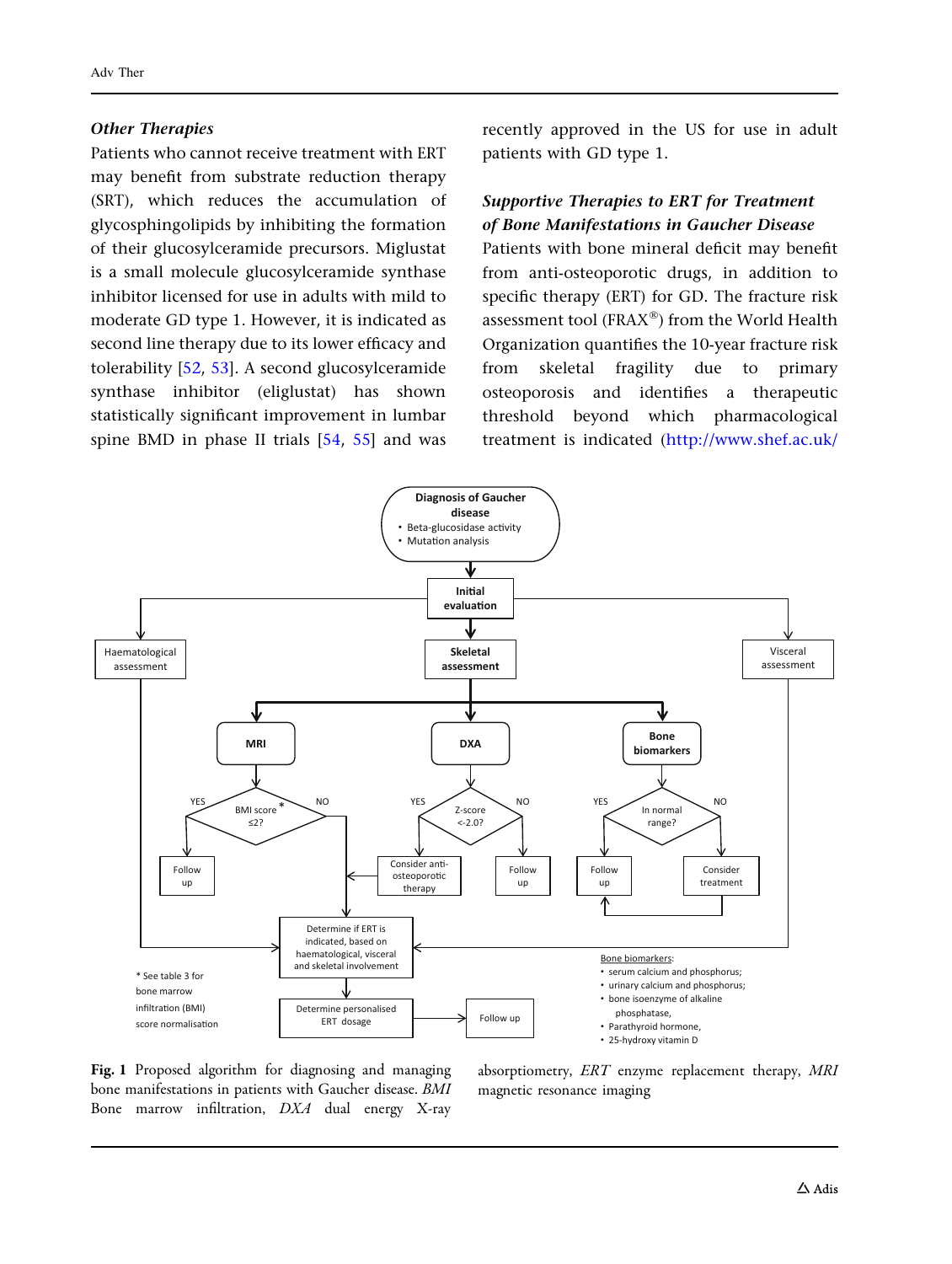### <span id="page-10-0"></span>Other Therapies

Patients who cannot receive treatment with ERT may benefit from substrate reduction therapy (SRT), which reduces the accumulation of glycosphingolipids by inhibiting the formation of their glucosylceramide precursors. Miglustat is a small molecule glucosylceramide synthase inhibitor licensed for use in adults with mild to moderate GD type 1. However, it is indicated as second line therapy due to its lower efficacy and tolerability [\[52,](#page-15-0) [53](#page-15-0)]. A second glucosylceramide synthase inhibitor (eliglustat) has shown statistically significant improvement in lumbar spine BMD in phase II trials [[54](#page-15-0), [55](#page-15-0)] and was

recently approved in the US for use in adult patients with GD type 1.

### Supportive Therapies to ERT for Treatment of Bone Manifestations in Gaucher Disease

Patients with bone mineral deficit may benefit from anti-osteoporotic drugs, in addition to specific therapy (ERT) for GD. The fracture risk assessment tool ( $FRAX^{\circledast}$ ) from the World Health Organization quantifies the 10-year fracture risk from skeletal fragility due to primary osteoporosis and identifies a therapeutic threshold beyond which pharmacological treatment is indicated ([http://www.shef.ac.uk/](http://www.shef.ac.uk/FRAX/index.aspx)



Fig. 1 Proposed algorithm for diagnosing and managing bone manifestations in patients with Gaucher disease. BMI Bone marrow infiltration, DXA dual energy X-ray

absorptiometry, ERT enzyme replacement therapy, MRI magnetic resonance imaging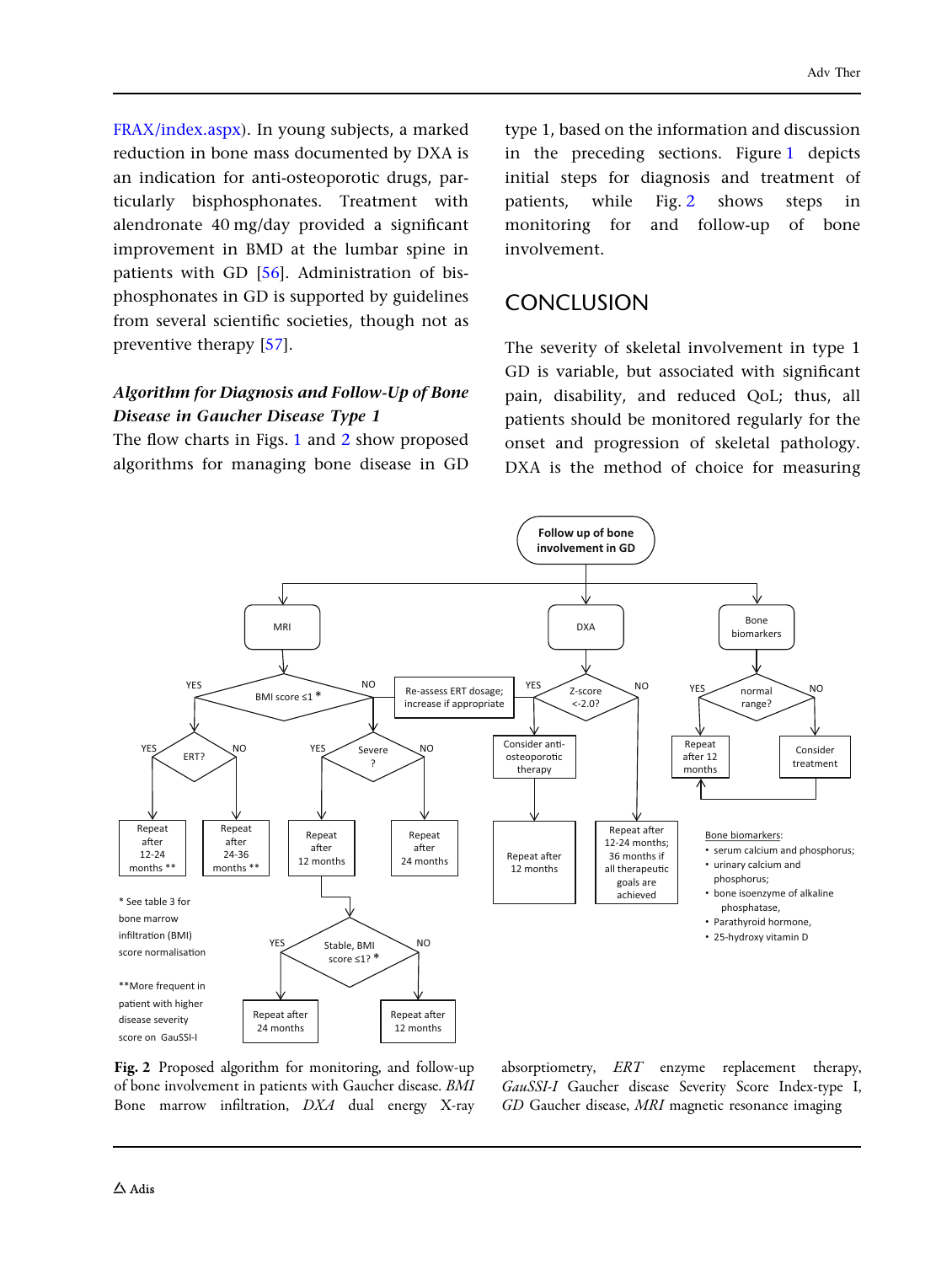[FRAX/index.aspx\)](http://www.shef.ac.uk/FRAX/index.aspx). In young subjects, a marked reduction in bone mass documented by DXA is an indication for anti-osteoporotic drugs, particularly bisphosphonates. Treatment with alendronate 40 mg/day provided a significant improvement in BMD at the lumbar spine in patients with GD [[56](#page-15-0)]. Administration of bisphosphonates in GD is supported by guidelines from several scientific societies, though not as preventive therapy [[57](#page-15-0)].

### Algorithm for Diagnosis and Follow-Up of Bone Disease in Gaucher Disease Type 1

The flow charts in Figs. [1](#page-10-0) and 2 show proposed algorithms for managing bone disease in GD

type 1, based on the information and discussion in the preceding sections. Figure [1](#page-10-0) depicts initial steps for diagnosis and treatment of patients, while Fig. 2 shows steps in monitoring for and follow-up of bone involvement.

## **CONCLUSION**

The severity of skeletal involvement in type 1 GD is variable, but associated with significant pain, disability, and reduced QoL; thus, all patients should be monitored regularly for the onset and progression of skeletal pathology. DXA is the method of choice for measuring



Fig. 2 Proposed algorithm for monitoring, and follow-up of bone involvement in patients with Gaucher disease. BMI Bone marrow infiltration, DXA dual energy X-ray absorptiometry, ERT enzyme replacement therapy, GauSSI-I Gaucher disease Severity Score Index-type I, GD Gaucher disease, MRI magnetic resonance imaging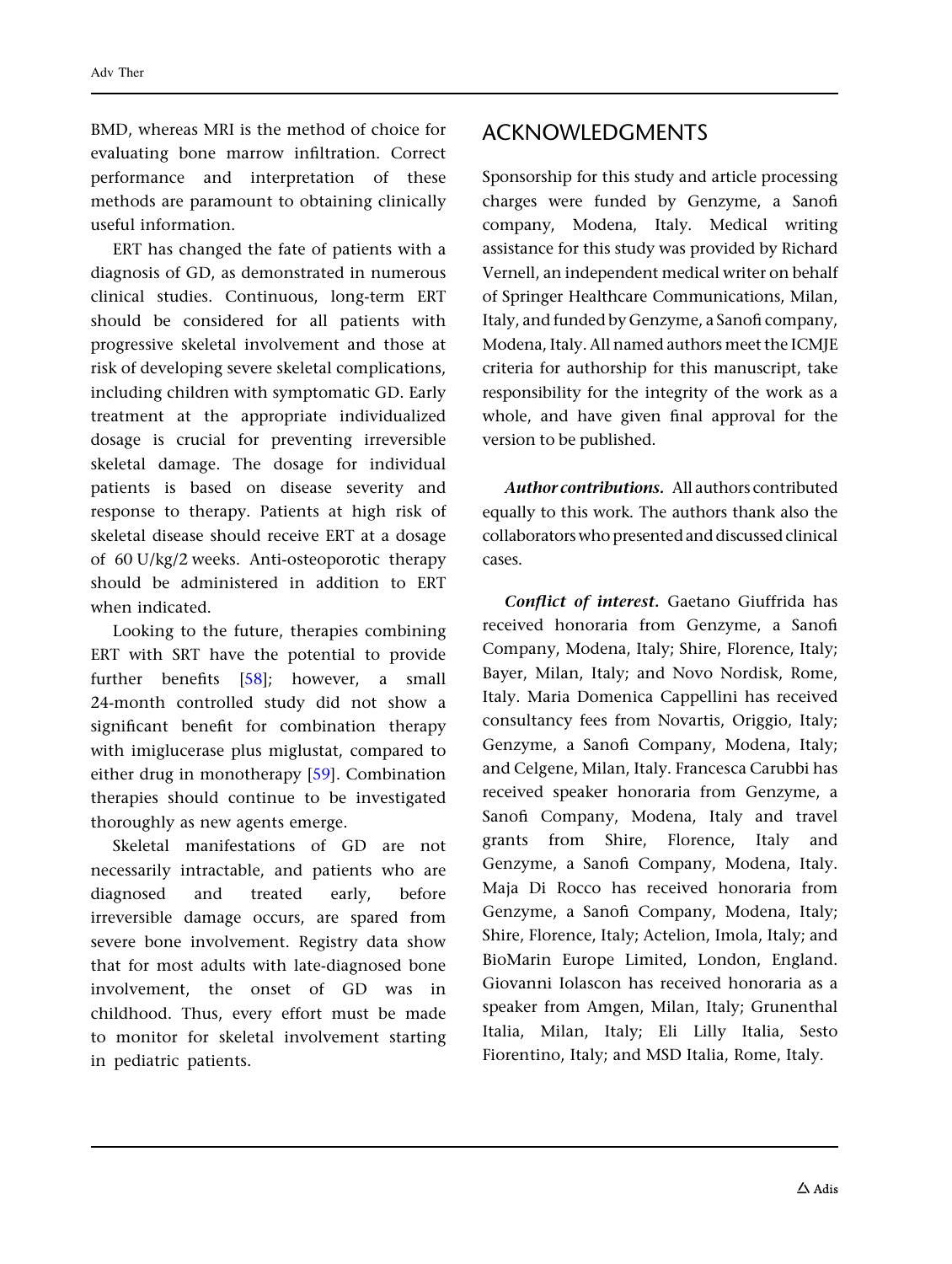BMD, whereas MRI is the method of choice for evaluating bone marrow infiltration. Correct performance and interpretation of these methods are paramount to obtaining clinically useful information.

ERT has changed the fate of patients with a diagnosis of GD, as demonstrated in numerous clinical studies. Continuous, long-term ERT should be considered for all patients with progressive skeletal involvement and those at risk of developing severe skeletal complications, including children with symptomatic GD. Early treatment at the appropriate individualized dosage is crucial for preventing irreversible skeletal damage. The dosage for individual patients is based on disease severity and response to therapy. Patients at high risk of skeletal disease should receive ERT at a dosage of 60 U/kg/2 weeks. Anti-osteoporotic therapy should be administered in addition to ERT when indicated.

Looking to the future, therapies combining ERT with SRT have the potential to provide further benefits [[58](#page-15-0)]; however, a small 24-month controlled study did not show a significant benefit for combination therapy with imiglucerase plus miglustat, compared to either drug in monotherapy [\[59\]](#page-15-0). Combination therapies should continue to be investigated thoroughly as new agents emerge.

Skeletal manifestations of GD are not necessarily intractable, and patients who are diagnosed and treated early, before irreversible damage occurs, are spared from severe bone involvement. Registry data show that for most adults with late-diagnosed bone involvement, the onset of GD was in childhood. Thus, every effort must be made to monitor for skeletal involvement starting in pediatric patients.

## ACKNOWLEDGMENTS

Sponsorship for this study and article processing charges were funded by Genzyme, a Sanofi company, Modena, Italy. Medical writing assistance for this study was provided by Richard Vernell, an independent medical writer on behalf of Springer Healthcare Communications, Milan, Italy, and funded by Genzyme, a Sanofi company, Modena, Italy. All named authors meet the ICMJE criteria for authorship for this manuscript, take responsibility for the integrity of the work as a whole, and have given final approval for the version to be published.

Author contributions. All authors contributed equally to this work. The authors thank also the collaborators who presentedand discussed clinical cases.

Conflict of interest. Gaetano Giuffrida has received honoraria from Genzyme, a Sanofi Company, Modena, Italy; Shire, Florence, Italy; Bayer, Milan, Italy; and Novo Nordisk, Rome, Italy. Maria Domenica Cappellini has received consultancy fees from Novartis, Origgio, Italy; Genzyme, a Sanofi Company, Modena, Italy; and Celgene, Milan, Italy. Francesca Carubbi has received speaker honoraria from Genzyme, a Sanofi Company, Modena, Italy and travel grants from Shire, Florence, Italy and Genzyme, a Sanofi Company, Modena, Italy. Maja Di Rocco has received honoraria from Genzyme, a Sanofi Company, Modena, Italy; Shire, Florence, Italy; Actelion, Imola, Italy; and BioMarin Europe Limited, London, England. Giovanni Iolascon has received honoraria as a speaker from Amgen, Milan, Italy; Grunenthal Italia, Milan, Italy; Eli Lilly Italia, Sesto Fiorentino, Italy; and MSD Italia, Rome, Italy.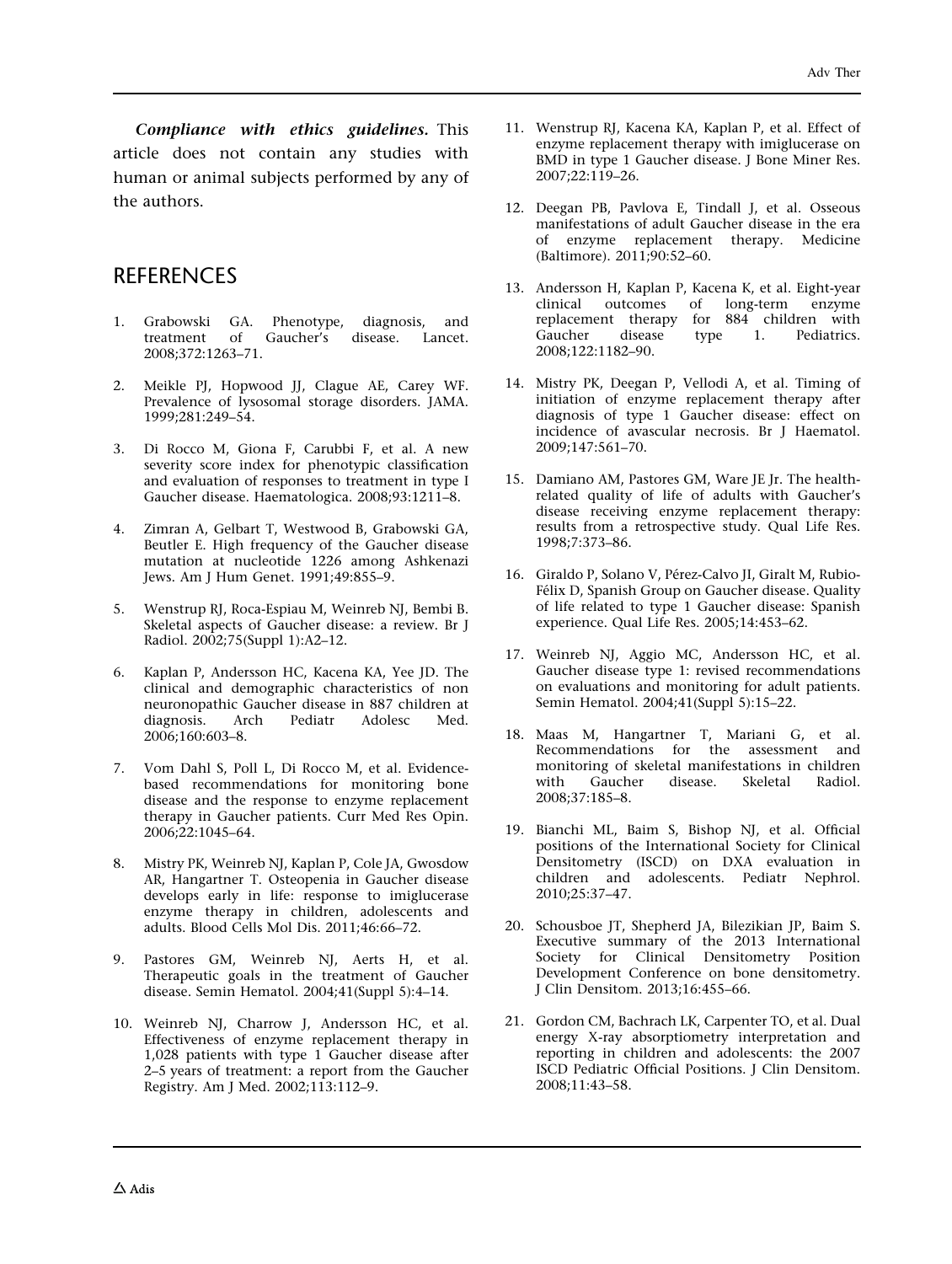<span id="page-13-0"></span>Compliance with ethics guidelines. This article does not contain any studies with human or animal subjects performed by any of the authors.

## **REFERENCES**

- 1. Grabowski GA. Phenotype, diagnosis, and disease. Lancet. 2008;372:1263–71.
- 2. Meikle PJ, Hopwood JJ, Clague AE, Carey WF. Prevalence of lysosomal storage disorders. JAMA. 1999;281:249–54.
- 3. Di Rocco M, Giona F, Carubbi F, et al. A new severity score index for phenotypic classification and evaluation of responses to treatment in type I Gaucher disease. Haematologica. 2008;93:1211–8.
- 4. Zimran A, Gelbart T, Westwood B, Grabowski GA, Beutler E. High frequency of the Gaucher disease mutation at nucleotide 1226 among Ashkenazi Jews. Am J Hum Genet. 1991;49:855–9.
- 5. Wenstrup RJ, Roca-Espiau M, Weinreb NJ, Bembi B. Skeletal aspects of Gaucher disease: a review. Br J Radiol. 2002;75(Suppl 1):A2–12.
- 6. Kaplan P, Andersson HC, Kacena KA, Yee JD. The clinical and demographic characteristics of non neuronopathic Gaucher disease in 887 children at diagnosis. Arch Pediatr Adolesc Med. 2006;160:603–8.
- 7. Vom Dahl S, Poll L, Di Rocco M, et al. Evidencebased recommendations for monitoring bone disease and the response to enzyme replacement therapy in Gaucher patients. Curr Med Res Opin. 2006;22:1045–64.
- 8. Mistry PK, Weinreb NJ, Kaplan P, Cole JA, Gwosdow AR, Hangartner T. Osteopenia in Gaucher disease develops early in life: response to imiglucerase enzyme therapy in children, adolescents and adults. Blood Cells Mol Dis. 2011;46:66–72.
- Pastores GM, Weinreb NJ, Aerts H, et al. Therapeutic goals in the treatment of Gaucher disease. Semin Hematol. 2004;41(Suppl 5):4–14.
- 10. Weinreb NJ, Charrow J, Andersson HC, et al. Effectiveness of enzyme replacement therapy in 1,028 patients with type 1 Gaucher disease after 2–5 years of treatment: a report from the Gaucher Registry. Am J Med. 2002;113:112–9.
- 11. Wenstrup RJ, Kacena KA, Kaplan P, et al. Effect of enzyme replacement therapy with imiglucerase on BMD in type 1 Gaucher disease. J Bone Miner Res. 2007;22:119–26.
- 12. Deegan PB, Pavlova E, Tindall J, et al. Osseous manifestations of adult Gaucher disease in the era of enzyme replacement therapy. Medicine (Baltimore). 2011;90:52–60.
- 13. Andersson H, Kaplan P, Kacena K, et al. Eight-year<br>clinical outcomes of long-term enzyme clinical outcomes of long-term replacement therapy for 884 children with Gaucher disease type 1. Pediatrics. 2008;122:1182–90.
- 14. Mistry PK, Deegan P, Vellodi A, et al. Timing of initiation of enzyme replacement therapy after diagnosis of type 1 Gaucher disease: effect on incidence of avascular necrosis. Br J Haematol. 2009;147:561–70.
- 15. Damiano AM, Pastores GM, Ware JE Jr. The healthrelated quality of life of adults with Gaucher's disease receiving enzyme replacement therapy: results from a retrospective study. Qual Life Res. 1998;7:373–86.
- 16. Giraldo P, Solano V, Pérez-Calvo JI, Giralt M, Rubio-Félix D, Spanish Group on Gaucher disease. Quality of life related to type 1 Gaucher disease: Spanish experience. Qual Life Res. 2005;14:453–62.
- 17. Weinreb NJ, Aggio MC, Andersson HC, et al. Gaucher disease type 1: revised recommendations on evaluations and monitoring for adult patients. Semin Hematol. 2004;41(Suppl 5):15–22.
- 18. Maas M, Hangartner T, Mariani G, et al. Recommendations for the assessment and monitoring of skeletal manifestations in children with Gaucher disease. Skeletal Radiol. 2008;37:185–8.
- 19. Bianchi ML, Baim S, Bishop NJ, et al. Official positions of the International Society for Clinical Densitometry (ISCD) on DXA evaluation in children and adolescents. Pediatr Nephrol. 2010;25:37–47.
- 20. Schousboe JT, Shepherd JA, Bilezikian JP, Baim S. Executive summary of the 2013 International Society for Clinical Densitometry Position Development Conference on bone densitometry. J Clin Densitom. 2013;16:455–66.
- 21. Gordon CM, Bachrach LK, Carpenter TO, et al. Dual energy X-ray absorptiometry interpretation and reporting in children and adolescents: the 2007 ISCD Pediatric Official Positions. J Clin Densitom. 2008;11:43–58.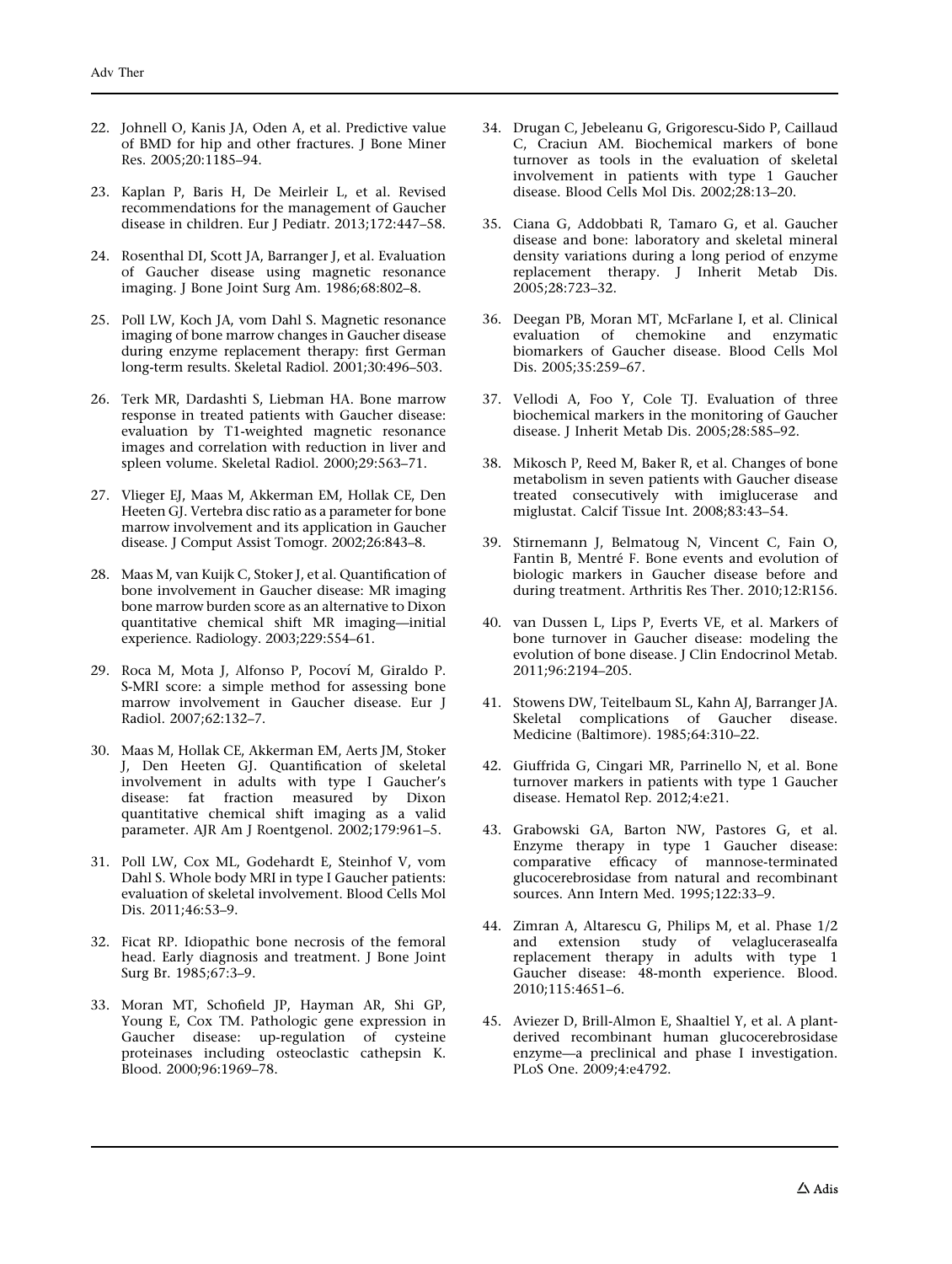- <span id="page-14-0"></span>22. Johnell O, Kanis JA, Oden A, et al. Predictive value of BMD for hip and other fractures. J Bone Miner Res. 2005;20:1185–94.
- 23. Kaplan P, Baris H, De Meirleir L, et al. Revised recommendations for the management of Gaucher disease in children. Eur J Pediatr. 2013;172:447–58.
- 24. Rosenthal DI, Scott JA, Barranger J, et al. Evaluation of Gaucher disease using magnetic resonance imaging. J Bone Joint Surg Am. 1986;68:802–8.
- 25. Poll LW, Koch JA, vom Dahl S. Magnetic resonance imaging of bone marrow changes in Gaucher disease during enzyme replacement therapy: first German long-term results. Skeletal Radiol. 2001;30:496–503.
- 26. Terk MR, Dardashti S, Liebman HA. Bone marrow response in treated patients with Gaucher disease: evaluation by T1-weighted magnetic resonance images and correlation with reduction in liver and spleen volume. Skeletal Radiol. 2000;29:563–71.
- 27. Vlieger EJ, Maas M, Akkerman EM, Hollak CE, Den Heeten GJ. Vertebra disc ratio as a parameter for bone marrow involvement and its application in Gaucher disease. J Comput Assist Tomogr. 2002;26:843–8.
- 28. Maas M, van Kuijk C, Stoker J, et al. Quantification of bone involvement in Gaucher disease: MR imaging bone marrow burden score as an alternative to Dixon quantitative chemical shift MR imaging—initial experience. Radiology. 2003;229:554–61.
- 29. Roca M, Mota J, Alfonso P, Pocoví M, Giraldo P. S-MRI score: a simple method for assessing bone marrow involvement in Gaucher disease. Eur J Radiol. 2007;62:132–7.
- 30. Maas M, Hollak CE, Akkerman EM, Aerts JM, Stoker J, Den Heeten GJ. Quantification of skeletal involvement in adults with type I Gaucher's disease: fat fraction measured by Dixon quantitative chemical shift imaging as a valid parameter. AJR Am J Roentgenol. 2002;179:961–5.
- 31. Poll LW, Cox ML, Godehardt E, Steinhof V, vom Dahl S. Whole body MRI in type I Gaucher patients: evaluation of skeletal involvement. Blood Cells Mol Dis. 2011;46:53–9.
- 32. Ficat RP. Idiopathic bone necrosis of the femoral head. Early diagnosis and treatment. J Bone Joint Surg Br. 1985;67:3–9.
- 33. Moran MT, Schofield JP, Hayman AR, Shi GP, Young E, Cox TM. Pathologic gene expression in Gaucher disease: up-regulation of cysteine proteinases including osteoclastic cathepsin K. Blood. 2000;96:1969–78.
- 34. Drugan C, Jebeleanu G, Grigorescu-Sido P, Caillaud C, Craciun AM. Biochemical markers of bone turnover as tools in the evaluation of skeletal involvement in patients with type 1 Gaucher disease. Blood Cells Mol Dis. 2002;28:13–20.
- 35. Ciana G, Addobbati R, Tamaro G, et al. Gaucher disease and bone: laboratory and skeletal mineral density variations during a long period of enzyme replacement therapy. J Inherit Metab Dis. 2005;28:723–32.
- 36. Deegan PB, Moran MT, McFarlane I, et al. Clinical evaluation of chemokine and enzymatic biomarkers of Gaucher disease. Blood Cells Mol Dis. 2005;35:259–67.
- 37. Vellodi A, Foo Y, Cole TJ. Evaluation of three biochemical markers in the monitoring of Gaucher disease. J Inherit Metab Dis. 2005;28:585–92.
- 38. Mikosch P, Reed M, Baker R, et al. Changes of bone metabolism in seven patients with Gaucher disease treated consecutively with imiglucerase and miglustat. Calcif Tissue Int. 2008;83:43–54.
- 39. Stirnemann J, Belmatoug N, Vincent C, Fain O, Fantin B, Mentré F. Bone events and evolution of biologic markers in Gaucher disease before and during treatment. Arthritis Res Ther. 2010;12:R156.
- 40. van Dussen L, Lips P, Everts VE, et al. Markers of bone turnover in Gaucher disease: modeling the evolution of bone disease. J Clin Endocrinol Metab. 2011;96:2194–205.
- 41. Stowens DW, Teitelbaum SL, Kahn AJ, Barranger JA. Skeletal complications of Gaucher disease. Medicine (Baltimore). 1985;64:310–22.
- 42. Giuffrida G, Cingari MR, Parrinello N, et al. Bone turnover markers in patients with type 1 Gaucher disease. Hematol Rep. 2012;4:e21.
- 43. Grabowski GA, Barton NW, Pastores G, et al. Enzyme therapy in type 1 Gaucher disease: comparative efficacy of mannose-terminated glucocerebrosidase from natural and recombinant sources. Ann Intern Med. 1995;122:33–9.
- 44. Zimran A, Altarescu G, Philips M, et al. Phase 1/2 and extension study of velaglucerasealfa replacement therapy in adults with type 1 Gaucher disease: 48-month experience. Blood. 2010;115:4651–6.
- 45. Aviezer D, Brill-Almon E, Shaaltiel Y, et al. A plantderived recombinant human glucocerebrosidase enzyme—a preclinical and phase I investigation. PLoS One. 2009;4:e4792.